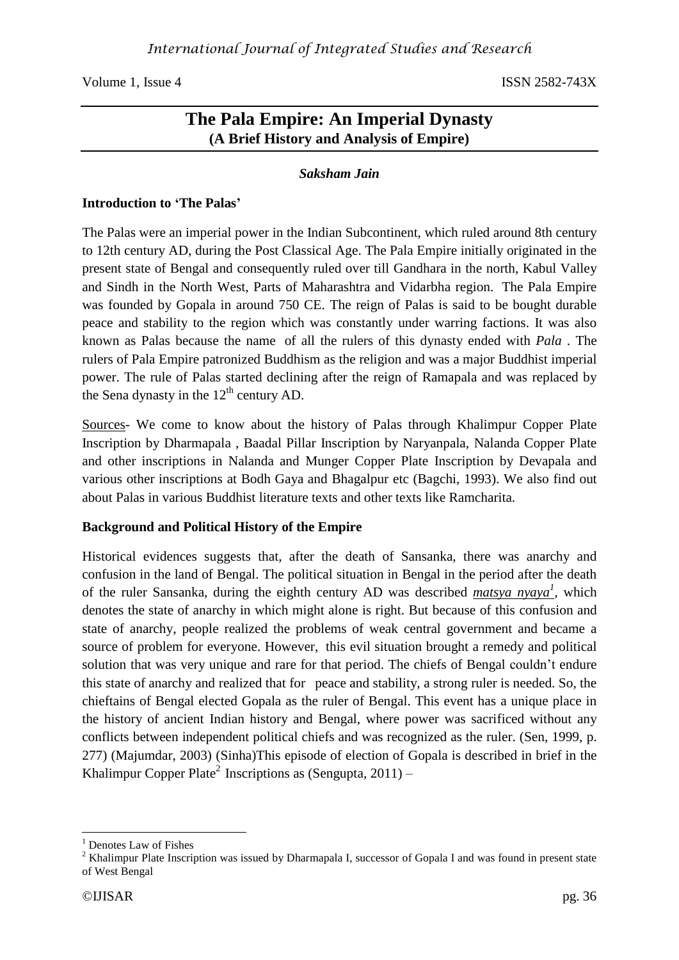# **The Pala Empire: An Imperial Dynasty (A Brief History and Analysis of Empire)**

### *Saksham Jain*

#### **Introduction to 'The Palas'**

The Palas were an imperial power in the Indian Subcontinent, which ruled around 8th century to 12th century AD, during the Post Classical Age. The Pala Empire initially originated in the present state of Bengal and consequently ruled over till Gandhara in the north, Kabul Valley and Sindh in the North West, Parts of Maharashtra and Vidarbha region. The Pala Empire was founded by Gopala in around 750 CE. The reign of Palas is said to be bought durable peace and stability to the region which was constantly under warring factions. It was also known as Palas because the name of all the rulers of this dynasty ended with *Pala* . The rulers of Pala Empire patronized Buddhism as the religion and was a major Buddhist imperial power. The rule of Palas started declining after the reign of Ramapala and was replaced by the Sena dynasty in the  $12<sup>th</sup>$  century AD.

Sources- We come to know about the history of Palas through Khalimpur Copper Plate Inscription by Dharmapala , Baadal Pillar Inscription by Naryanpala, Nalanda Copper Plate and other inscriptions in Nalanda and Munger Copper Plate Inscription by Devapala and various other inscriptions at Bodh Gaya and Bhagalpur etc (Bagchi, 1993). We also find out about Palas in various Buddhist literature texts and other texts like Ramcharita.

### **Background and Political History of the Empire**

Historical evidences suggests that, after the death of Sansanka, there was anarchy and confusion in the land of Bengal. The political situation in Bengal in the period after the death of the ruler Sansanka, during the eighth century AD was described *matsya nyaya<sup>1</sup>*, which denotes the state of anarchy in which might alone is right. But because of this confusion and state of anarchy, people realized the problems of weak central government and became a source of problem for everyone. However, this evil situation brought a remedy and political solution that was very unique and rare for that period. The chiefs of Bengal couldn't endure this state of anarchy and realized that for peace and stability, a strong ruler is needed. So, the chieftains of Bengal elected Gopala as the ruler of Bengal. This event has a unique place in the history of ancient Indian history and Bengal, where power was sacrificed without any conflicts between independent political chiefs and was recognized as the ruler. (Sen, 1999, p. 277) (Majumdar, 2003) (Sinha)This episode of election of Gopala is described in brief in the Khalimpur Copper Plate<sup>2</sup> Inscriptions as (Sengupta, 2011) –

1

 $<sup>1</sup>$  Denotes Law of Fishes</sup>

<sup>&</sup>lt;sup>2</sup> Khalimpur Plate Inscription was issued by Dharmapala I, successor of Gopala I and was found in present state of West Bengal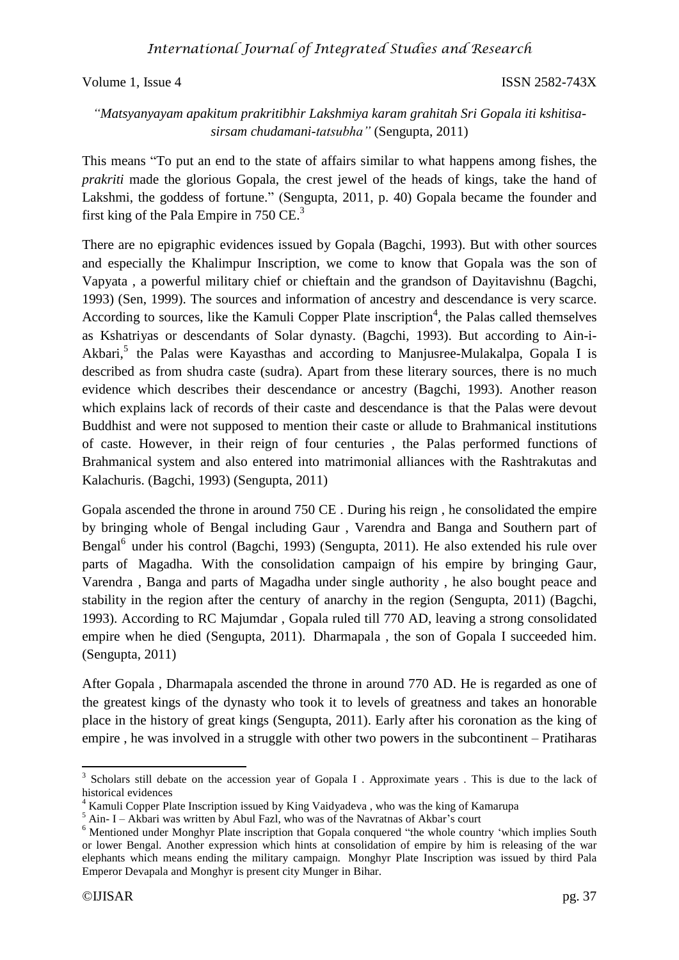## *International Journal of Integrated Studies and Research*

Volume 1, Issue 4 ISSN 2582-743X

## *"Matsyanyayam apakitum prakritibhir Lakshmiya karam grahitah Sri Gopala iti kshitisasirsam chudamani-tatsubha"* (Sengupta, 2011)

This means "To put an end to the state of affairs similar to what happens among fishes, the *prakriti* made the glorious Gopala, the crest jewel of the heads of kings, take the hand o[f](https://en.wikipedia.org/wiki/Lakshmi) [Lakshmi,](https://en.wikipedia.org/wiki/Lakshmi) the goddess of fortune." (Sengupta, 2011, p. 40) Gopala became the founder and first king of the Pala Empire in 750 CE.<sup>3</sup>

There are no epigraphic evidences issued by Gopala (Bagchi, 1993). But with other sources and especially the Khalimpur Inscription, we come to know that Gopala was the son of Vapyata , a powerful military chief or chieftain and the grandson of Dayitavishnu (Bagchi, 1993) (Sen, 1999). The sources and information of ancestry and descendance is very scarce. According to sources, like the Kamuli Copper Plate inscription<sup>4</sup>, the Palas called themselves as Kshatriyas or descendants of Solar dynasty. (Bagchi, 1993). But according to Ain-i-Akbari,<sup>5</sup> the Palas were Kayasthas and according to Manjusree-Mulakalpa, Gopala I is described as from shudra caste (sudra). Apart from these literary sources, there is no much evidence which describes their descendance or ancestry (Bagchi, 1993). Another reason which explains lack of records of their caste and descendance is that the Palas were devout Buddhist and were not supposed to mention their caste or allude to Brahmanical institutions of caste. However, in their reign of four centuries , the Palas performed functions of Brahmanical system and also entered into matrimonial alliances with the Rashtrakutas and Kalachuris. (Bagchi, 1993) (Sengupta, 2011)

Gopala ascended the throne in around 750 CE . During his reign , he consolidated the empire by bringing whole of Bengal including Gaur , Varendra and Banga and Southern part of Bengal<sup>6</sup> under his control (Bagchi, 1993) (Sengupta, 2011). He also extended his rule over parts of Magadha. With the consolidation campaign of his empire by bringing Gaur, Varendra , Banga and parts of Magadha under single authority , he also bought peace and stability in the region after the century of anarchy in the region (Sengupta, 2011) (Bagchi, 1993). According to RC Majumdar , Gopala ruled till 770 AD, leaving a strong consolidated empire when he died (Sengupta, 2011). Dharmapala , the son of Gopala I succeeded him. (Sengupta, 2011)

After Gopala , Dharmapala ascended the throne in around 770 AD. He is regarded as one of the greatest kings of the dynasty who took it to levels of greatness and takes an honorable place in the history of great kings (Sengupta, 2011). Early after his coronation as the king of empire , he was involved in a struggle with other two powers in the subcontinent – Pratiharas

**.** 

<sup>&</sup>lt;sup>3</sup> Scholars still debate on the accession year of Gopala I . Approximate years . This is due to the lack of historical evidences

<sup>4</sup> Kamuli Copper Plate Inscription issued by King Vaidyadeva , who was the king of Kamarupa

 $5$  Ain- I – Akbari was written by Abul Fazl, who was of the Navratnas of Akbar's court

<sup>&</sup>lt;sup>6</sup> Mentioned under Monghyr Plate inscription that Gopala conquered "the whole country 'which implies South or lower Bengal. Another expression which hints at consolidation of empire by him is releasing of the war elephants which means ending the military campaign. Monghyr Plate Inscription was issued by third Pala Emperor Devapala and Monghyr is present city Munger in Bihar.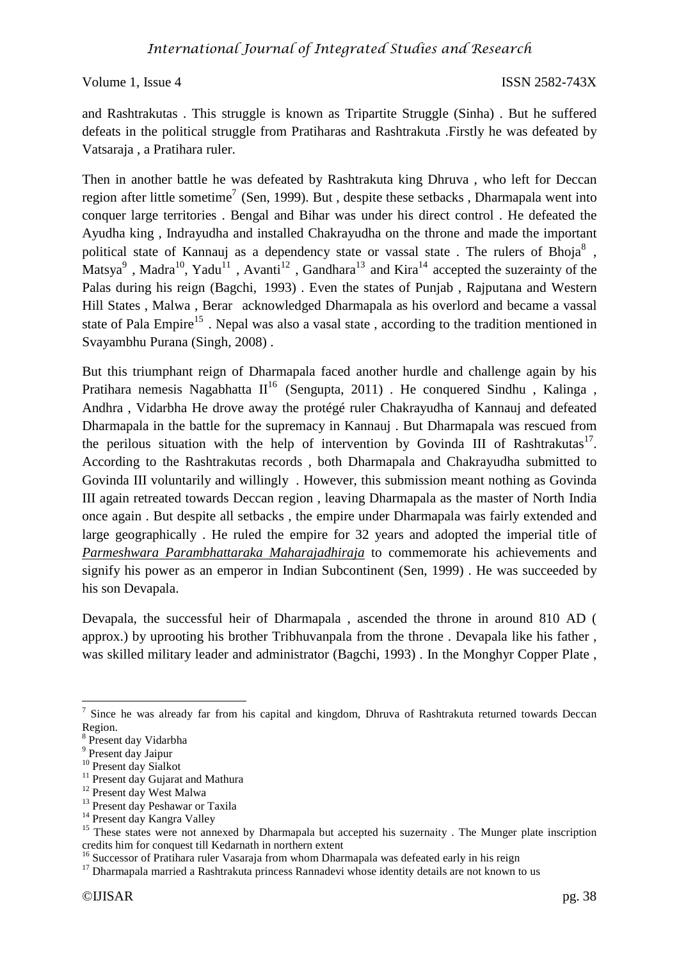and Rashtrakutas . This struggle is known as Tripartite Struggle (Sinha) . But he suffered defeats in the political struggle from Pratiharas and Rashtrakuta .Firstly he was defeated by Vatsaraja , a Pratihara ruler.

Then in another battle he was defeated by Rashtrakuta king Dhruva , who left for Deccan region after little sometime<sup>7</sup> (Sen, 1999). But, despite these setbacks, Dharmapala went into conquer large territories . Bengal and Bihar was under his direct control . He defeated the Ayudha king , Indrayudha and installed Chakrayudha on the throne and made the important political state of Kannauj as a dependency state or vassal state. The rulers of Bhoja $^8$ , Matsya<sup>9</sup>, Madra<sup>10</sup>, Yadu<sup>11</sup>, Avanti<sup>12</sup>, Gandhara<sup>13</sup> and Kira<sup>14</sup> accepted the suzerainty of the Palas during his reign (Bagchi, 1993) . Even the states of Punjab , Rajputana and Western Hill States , Malwa , Berar acknowledged Dharmapala as his overlord and became a vassal state of Pala Empire<sup>15</sup>. Nepal was also a vasal state, according to the tradition mentioned in Svayambhu Purana (Singh, 2008) .

But this triumphant reign of Dharmapala faced another hurdle and challenge again by his Pratihara nemesis Nagabhatta  $II^{16}$  (Sengupta, 2011) . He conquered Sindhu, Kalinga, Andhra , Vidarbha He drove away the protégé ruler Chakrayudha of Kannauj and defeated Dharmapala in the battle for the supremacy in Kannauj . But Dharmapala was rescued from the perilous situation with the help of intervention by Govinda III of Rashtrakutas<sup>17</sup>. According to the Rashtrakutas records , both Dharmapala and Chakrayudha submitted to Govinda III voluntarily and willingly . However, this submission meant nothing as Govinda III again retreated towards Deccan region , leaving Dharmapala as the master of North India once again . But despite all setbacks , the empire under Dharmapala was fairly extended and large geographically . He ruled the empire for 32 years and adopted the imperial title of *Parmeshwara Parambhattaraka Maharajadhiraja* to commemorate his achievements and signify his power as an emperor in Indian Subcontinent (Sen, 1999) . He was succeeded by his son Devapala.

Devapala, the successful heir of Dharmapala , ascended the throne in around 810 AD ( approx.) by uprooting his brother Tribhuvanpala from the throne . Devapala like his father , was skilled military leader and administrator (Bagchi, 1993) . In the Monghyr Copper Plate ,

 $\overline{a}$ 

<sup>&</sup>lt;sup>7</sup> Since he was already far from his capital and kingdom, Dhruva of Rashtrakuta returned towards Deccan Region.

<sup>8</sup> Present day Vidarbha

<sup>9</sup> Present day Jaipur

<sup>&</sup>lt;sup>10</sup> Present day Sialkot

<sup>&</sup>lt;sup>11</sup> Present day Gujarat and Mathura

<sup>&</sup>lt;sup>12</sup> Present day West Malwa

<sup>&</sup>lt;sup>13</sup> Present day Peshawar or Taxila

<sup>&</sup>lt;sup>14</sup> Present day Kangra Valley

<sup>&</sup>lt;sup>15</sup> These states were not annexed by Dharmapala but accepted his suzernaity. The Munger plate inscription credits him for conquest till Kedarnath in northern extent

<sup>&</sup>lt;sup>16</sup> Successor of Pratihara ruler Vasaraja from whom Dharmapala was defeated early in his reign

 $17$  Dharmapala married a Rashtrakuta princess Rannadevi whose identity details are not known to us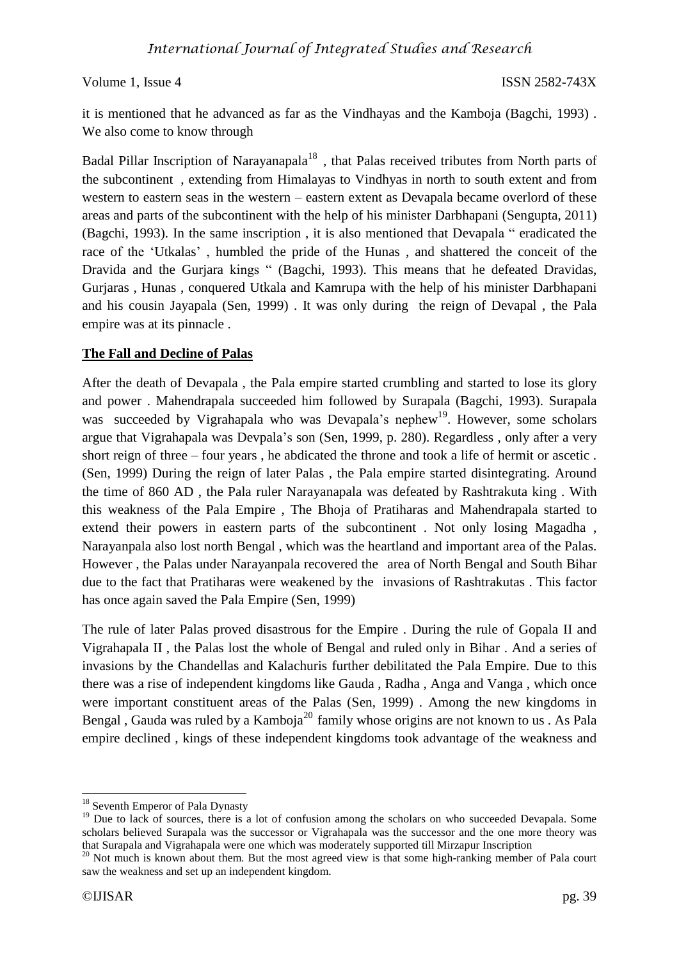it is mentioned that he advanced as far as the Vindhayas and the Kamboja (Bagchi, 1993) . We also come to know through

Badal Pillar Inscription of Narayanapala<sup>18</sup>, that Palas received tributes from North parts of the subcontinent , extending from Himalayas to Vindhyas in north to south extent and from western to eastern seas in the western – eastern extent as Devapala became overlord of these areas and parts of the subcontinent with the help of his minister Darbhapani (Sengupta, 2011) (Bagchi, 1993). In the same inscription , it is also mentioned that Devapala " eradicated the race of the 'Utkalas' , humbled the pride of the Hunas , and shattered the conceit of the Dravida and the Gurjara kings " (Bagchi, 1993). This means that he defeated Dravidas, Gurjaras , Hunas , conquered Utkala and Kamrupa with the help of his minister Darbhapani and his cousin Jayapala (Sen, 1999) . It was only during the reign of Devapal , the Pala empire was at its pinnacle .

## **The Fall and Decline of Palas**

After the death of Devapala , the Pala empire started crumbling and started to lose its glory and power . Mahendrapala succeeded him followed by Surapala (Bagchi, 1993). Surapala was succeeded by Vigrahapala who was Devapala's nephew<sup>19</sup>. However, some scholars argue that Vigrahapala was Devpala's son (Sen, 1999, p. 280). Regardless , only after a very short reign of three – four years , he abdicated the throne and took a life of hermit or ascetic . (Sen, 1999) During the reign of later Palas , the Pala empire started disintegrating. Around the time of 860 AD , the Pala ruler Narayanapala was defeated by Rashtrakuta king . With this weakness of the Pala Empire , The Bhoja of Pratiharas and Mahendrapala started to extend their powers in eastern parts of the subcontinent . Not only losing Magadha , Narayanpala also lost north Bengal , which was the heartland and important area of the Palas. However , the Palas under Narayanpala recovered the area of North Bengal and South Bihar due to the fact that Pratiharas were weakened by the invasions of Rashtrakutas . This factor has once again saved the Pala Empire (Sen, 1999)

The rule of later Palas proved disastrous for the Empire . During the rule of Gopala II and Vigrahapala II , the Palas lost the whole of Bengal and ruled only in Bihar . And a series of invasions by the Chandellas and Kalachuris further debilitated the Pala Empire. Due to this there was a rise of independent kingdoms like Gauda , Radha , Anga and Vanga , which once were important constituent areas of the Palas (Sen, 1999) . Among the new kingdoms in Bengal, Gauda was ruled by a Kamboja<sup>20</sup> family whose origins are not known to us. As Pala empire declined , kings of these independent kingdoms took advantage of the weakness and

<sup>1</sup> <sup>18</sup> Seventh Emperor of Pala Dynasty

<sup>&</sup>lt;sup>19</sup> Due to lack of sources, there is a lot of confusion among the scholars on who succeeded Devapala. Some scholars believed Surapala was the successor or Vigrahapala was the successor and the one more theory was that Surapala and Vigrahapala were one which was moderately supported till Mirzapur Inscription

<sup>&</sup>lt;sup>20</sup> Not much is known about them. But the most agreed view is that some high-ranking member of Pala court saw the weakness and set up an independent kingdom.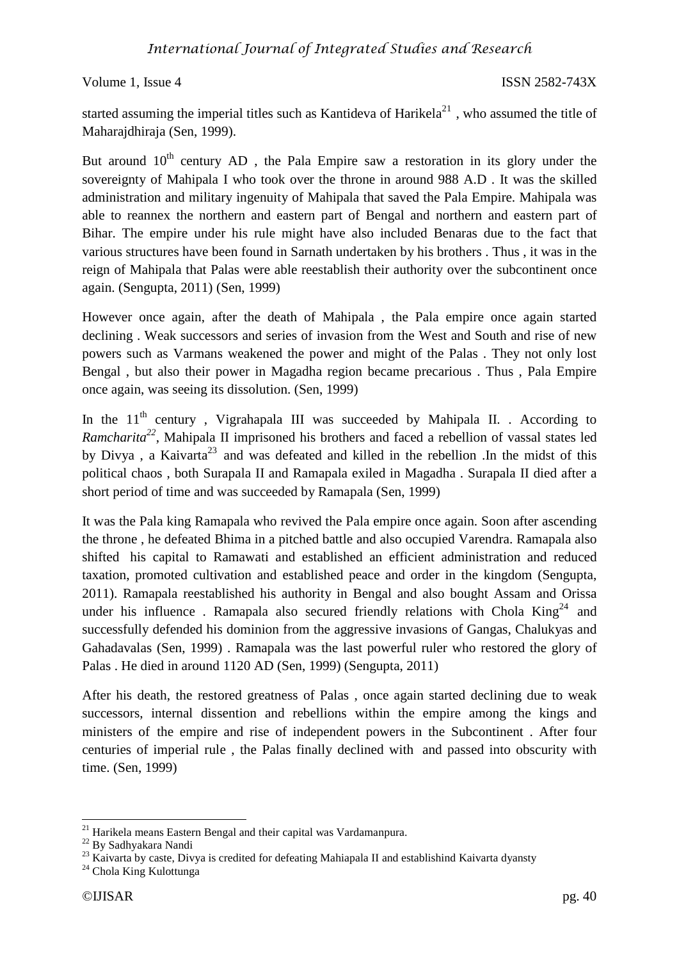started assuming the imperial titles such as Kantideva of Harikela $^{21}$ , who assumed the title of Maharajdhiraja (Sen, 1999).

But around  $10<sup>th</sup>$  century AD, the Pala Empire saw a restoration in its glory under the sovereignty of Mahipala I who took over the throne in around 988 A.D . It was the skilled administration and military ingenuity of Mahipala that saved the Pala Empire. Mahipala was able to reannex the northern and eastern part of Bengal and northern and eastern part of Bihar. The empire under his rule might have also included Benaras due to the fact that various structures have been found in Sarnath undertaken by his brothers . Thus , it was in the reign of Mahipala that Palas were able reestablish their authority over the subcontinent once again. (Sengupta, 2011) (Sen, 1999)

However once again, after the death of Mahipala , the Pala empire once again started declining . Weak successors and series of invasion from the West and South and rise of new powers such as Varmans weakened the power and might of the Palas . They not only lost Bengal , but also their power in Magadha region became precarious . Thus , Pala Empire once again, was seeing its dissolution. (Sen, 1999)

In the  $11<sup>th</sup>$  century, Vigrahapala III was succeeded by Mahipala II. . According to *Ramcharita<sup>22</sup>*, Mahipala II imprisoned his brothers and faced a rebellion of vassal states led by Divya, a Kaivarta<sup>23</sup> and was defeated and killed in the rebellion. In the midst of this political chaos , both Surapala II and Ramapala exiled in Magadha . Surapala II died after a short period of time and was succeeded by Ramapala (Sen, 1999)

It was the Pala king Ramapala who revived the Pala empire once again. Soon after ascending the throne , he defeated Bhima in a pitched battle and also occupied Varendra. Ramapala also shifted his capital to Ramawati and established an efficient administration and reduced taxation, promoted cultivation and established peace and order in the kingdom (Sengupta, 2011). Ramapala reestablished his authority in Bengal and also bought Assam and Orissa under his influence. Ramapala also secured friendly relations with Chola  $King<sup>24</sup>$  and successfully defended his dominion from the aggressive invasions of Gangas, Chalukyas and Gahadavalas (Sen, 1999) . Ramapala was the last powerful ruler who restored the glory of Palas . He died in around 1120 AD (Sen, 1999) (Sengupta, 2011)

After his death, the restored greatness of Palas , once again started declining due to weak successors, internal dissention and rebellions within the empire among the kings and ministers of the empire and rise of independent powers in the Subcontinent . After four centuries of imperial rule , the Palas finally declined with and passed into obscurity with time. (Sen, 1999)

**<sup>.</sup>**  $21$  Harikela means Eastern Bengal and their capital was Vardamanpura.

<sup>22</sup> By Sadhyakara Nandi

<sup>&</sup>lt;sup>23</sup> Kaivarta by caste, Divya is credited for defeating Mahiapala II and establishind Kaivarta dyansty

<sup>&</sup>lt;sup>24</sup> Chola King Kulottunga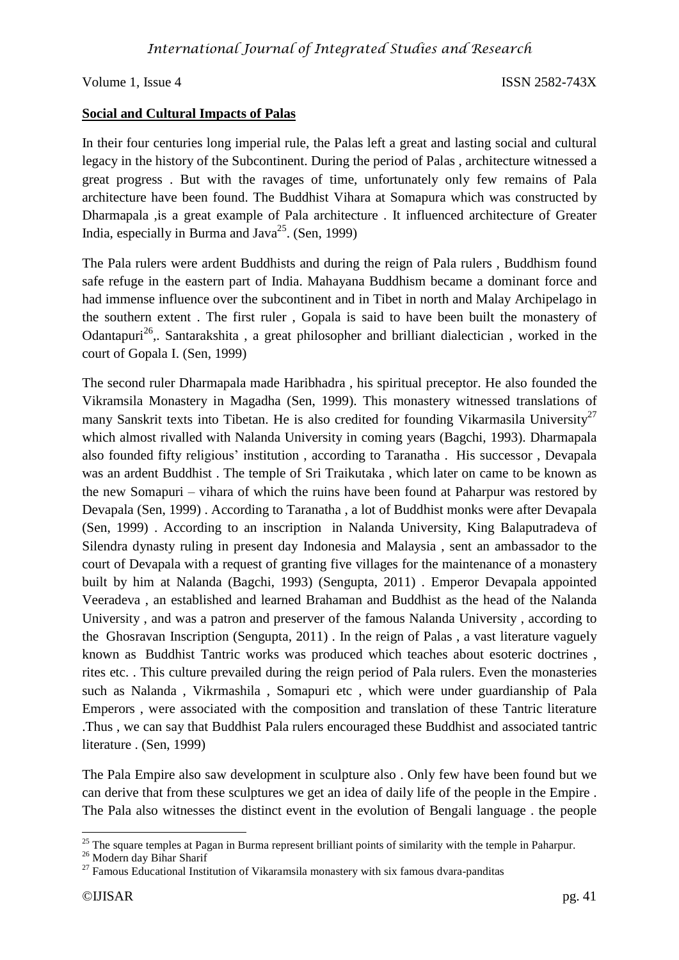#### **Social and Cultural Impacts of Palas**

In their four centuries long imperial rule, the Palas left a great and lasting social and cultural legacy in the history of the Subcontinent. During the period of Palas , architecture witnessed a great progress . But with the ravages of time, unfortunately only few remains of Pala architecture have been found. The Buddhist Vihara at Somapura which was constructed by Dharmapala ,is a great example of Pala architecture . It influenced architecture of Greater India, especially in Burma and Java<sup>25</sup>. (Sen, 1999)

The Pala rulers were ardent Buddhists and during the reign of Pala rulers , Buddhism found safe refuge in the eastern part of India. Mahayana Buddhism became a dominant force and had immense influence over the subcontinent and in Tibet in north and Malay Archipelago in the southern extent . The first ruler , Gopala is said to have been built the monastery of Odantapuri<sup>26</sup>,. Santarakshita, a great philosopher and brilliant dialectician, worked in the court of Gopala I. (Sen, 1999)

The second ruler Dharmapala made Haribhadra , his spiritual preceptor. He also founded the Vikramsila Monastery in Magadha (Sen, 1999). This monastery witnessed translations of many Sanskrit texts into Tibetan. He is also credited for founding Vikarmasila University<sup>27</sup> which almost rivalled with Nalanda University in coming years (Bagchi, 1993). Dharmapala also founded fifty religious' institution , according to Taranatha . His successor , Devapala was an ardent Buddhist . The temple of Sri Traikutaka , which later on came to be known as the new Somapuri – vihara of which the ruins have been found at Paharpur was restored by Devapala (Sen, 1999) . According to Taranatha , a lot of Buddhist monks were after Devapala (Sen, 1999) . According to an inscription in Nalanda University, King Balaputradeva of Silendra dynasty ruling in present day Indonesia and Malaysia , sent an ambassador to the court of Devapala with a request of granting five villages for the maintenance of a monastery built by him at Nalanda (Bagchi, 1993) (Sengupta, 2011) . Emperor Devapala appointed Veeradeva , an established and learned Brahaman and Buddhist as the head of the Nalanda University , and was a patron and preserver of the famous Nalanda University , according to the Ghosravan Inscription (Sengupta, 2011) . In the reign of Palas , a vast literature vaguely known as Buddhist Tantric works was produced which teaches about esoteric doctrines , rites etc. . This culture prevailed during the reign period of Pala rulers. Even the monasteries such as Nalanda , Vikrmashila , Somapuri etc , which were under guardianship of Pala Emperors , were associated with the composition and translation of these Tantric literature .Thus , we can say that Buddhist Pala rulers encouraged these Buddhist and associated tantric literature . (Sen, 1999)

The Pala Empire also saw development in sculpture also . Only few have been found but we can derive that from these sculptures we get an idea of daily life of the people in the Empire . The Pala also witnesses the distinct event in the evolution of Bengali language . the people

1

 $25$  The square temples at Pagan in Burma represent brilliant points of similarity with the temple in Paharpur.

<sup>&</sup>lt;sup>26</sup> Modern day Bihar Sharif

 $27$  Famous Educational Institution of Vikaramsila monastery with six famous dvara-panditas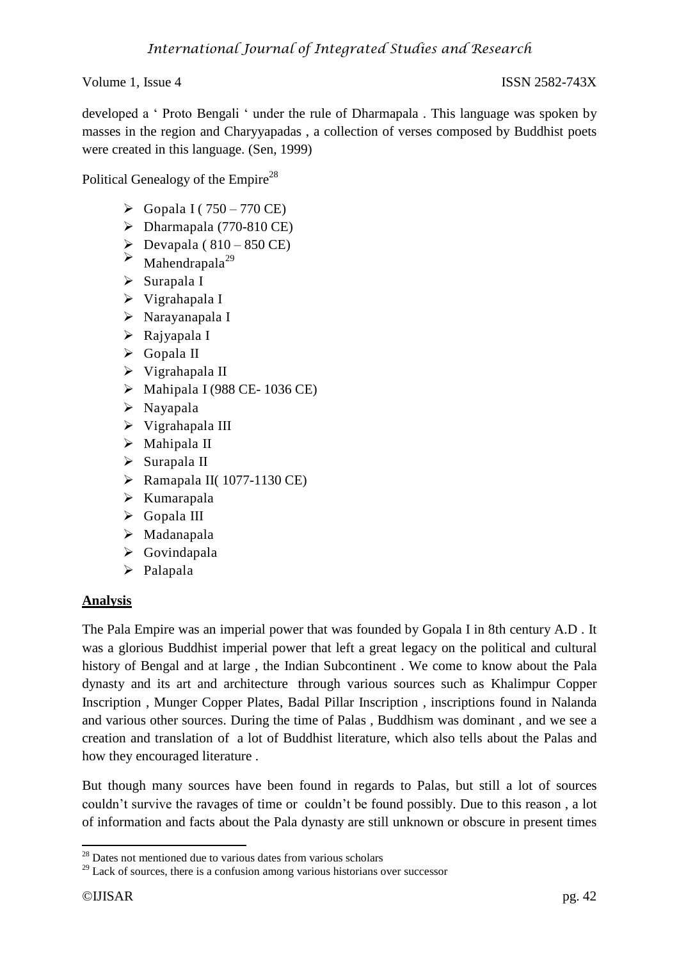developed a ' Proto Bengali ' under the rule of Dharmapala . This language was spoken by masses in the region and Charyyapadas , a collection of verses composed by Buddhist poets were created in this language. (Sen, 1999)

Political Genealogy of the Empire<sup>28</sup>

- $\triangleright$  Gopala I (750 770 CE)
- $\triangleright$  Dharmapala (770-810 CE)
- $\sum_{\text{Mahendranals}^{29}} \frac{\text{Devapala} (810 850 \text{ CE})}{\text{Mahendranals}^{29}}$
- $\blacktriangleright$  Mahendrapala<sup>29</sup>
- $\triangleright$  Surapala I
- $\triangleright$  Vigrahapala I
- Narayanapala I
- Rajyapala I
- Gopala II
- Vigrahapala II
- $\triangleright$  Mahipala I (988 CE-1036 CE)
- $\triangleright$  Nayapala
- $\triangleright$  Vigrahapala III
- Mahipala II
- $\triangleright$  Surapala II
- $\triangleright$  Ramapala II(1077-1130 CE)
- $\triangleright$  Kumarapala
- Gopala III
- > Madanapala
- $\triangleright$  Govindapala
- > Palapala

## **Analysis**

The Pala Empire was an imperial power that was founded by Gopala I in 8th century A.D . It was a glorious Buddhist imperial power that left a great legacy on the political and cultural history of Bengal and at large , the Indian Subcontinent . We come to know about the Pala dynasty and its art and architecture through various sources such as Khalimpur Copper Inscription , Munger Copper Plates, Badal Pillar Inscription , inscriptions found in Nalanda and various other sources. During the time of Palas , Buddhism was dominant , and we see a creation and translation of a lot of Buddhist literature, which also tells about the Palas and how they encouraged literature .

But though many sources have been found in regards to Palas, but still a lot of sources couldn't survive the ravages of time or couldn't be found possibly. Due to this reason , a lot of information and facts about the Pala dynasty are still unknown or obscure in present times

**<sup>.</sup>**  $28$  Dates not mentioned due to various dates from various scholars

 $^{29}$  Lack of sources, there is a confusion among various historians over successor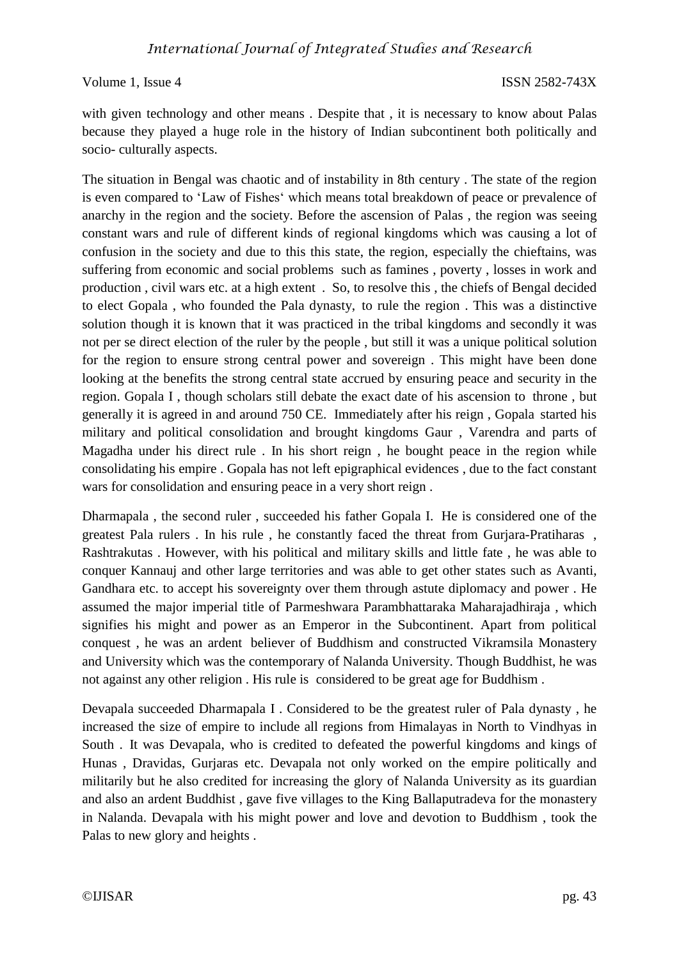with given technology and other means. Despite that, it is necessary to know about Palas because they played a huge role in the history of Indian subcontinent both politically and socio- culturally aspects.

The situation in Bengal was chaotic and of instability in 8th century . The state of the region is even compared to 'Law of Fishes' which means total breakdown of peace or prevalence of anarchy in the region and the society. Before the ascension of Palas , the region was seeing constant wars and rule of different kinds of regional kingdoms which was causing a lot of confusion in the society and due to this this state, the region, especially the chieftains, was suffering from economic and social problems such as famines , poverty , losses in work and production , civil wars etc. at a high extent . So, to resolve this , the chiefs of Bengal decided to elect Gopala , who founded the Pala dynasty, to rule the region . This was a distinctive solution though it is known that it was practiced in the tribal kingdoms and secondly it was not per se direct election of the ruler by the people , but still it was a unique political solution for the region to ensure strong central power and sovereign . This might have been done looking at the benefits the strong central state accrued by ensuring peace and security in the region. Gopala I , though scholars still debate the exact date of his ascension to throne , but generally it is agreed in and around 750 CE. Immediately after his reign , Gopala started his military and political consolidation and brought kingdoms Gaur , Varendra and parts of Magadha under his direct rule . In his short reign , he bought peace in the region while consolidating his empire . Gopala has not left epigraphical evidences , due to the fact constant wars for consolidation and ensuring peace in a very short reign .

Dharmapala , the second ruler , succeeded his father Gopala I. He is considered one of the greatest Pala rulers . In his rule , he constantly faced the threat from Gurjara-Pratiharas , Rashtrakutas . However, with his political and military skills and little fate , he was able to conquer Kannauj and other large territories and was able to get other states such as Avanti, Gandhara etc. to accept his sovereignty over them through astute diplomacy and power . He assumed the major imperial title of Parmeshwara Parambhattaraka Maharajadhiraja , which signifies his might and power as an Emperor in the Subcontinent. Apart from political conquest , he was an ardent believer of Buddhism and constructed Vikramsila Monastery and University which was the contemporary of Nalanda University. Though Buddhist, he was not against any other religion . His rule is considered to be great age for Buddhism .

Devapala succeeded Dharmapala I . Considered to be the greatest ruler of Pala dynasty , he increased the size of empire to include all regions from Himalayas in North to Vindhyas in South . It was Devapala, who is credited to defeated the powerful kingdoms and kings of Hunas , Dravidas, Gurjaras etc. Devapala not only worked on the empire politically and militarily but he also credited for increasing the glory of Nalanda University as its guardian and also an ardent Buddhist , gave five villages to the King Ballaputradeva for the monastery in Nalanda. Devapala with his might power and love and devotion to Buddhism , took the Palas to new glory and heights .